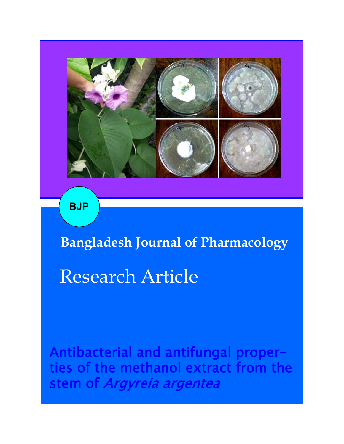

**BJP**

**Bangladesh Journal of Pharmacology** 

# Research Article

Antibacterial and antifungal properties of the methanol extract from the stem of Argyreia argentea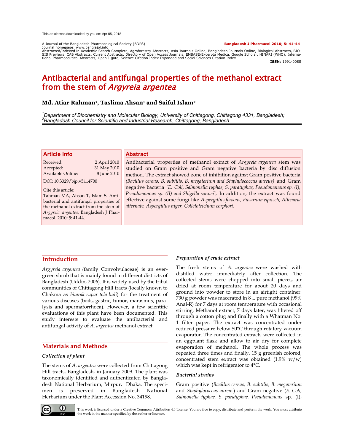A Journal of the Bangladesh Pharmacological Society (BDPS) **Bangladesh J Pharmacol 2010; 5: 41-44**

Journal homepage: www.banglajol.info Abstracted/indexed in Academic Search Complete, Agroforestry Abstracts, Asia Journals Online, Bangladesh Journals Online, Biological Abstracts, BIO-SIS Previews, CAB Abstracts, Current Abstracts, Directory of Open Access Journals, EMBASE/Excerpta Medica, Google Scholar, HINARI (WHO), Interna-<br>tional Pharmaceutical Abstracts, Open J-gate, Science Citation Index Expande

**ISSN**: 1991-0088

# Antibacterial and antifungal properties of the methanol extract from the stem of *Argyreia argentea*

# **Md. Atiar Rahman<sup>1</sup> , Taslima Ahsan<sup>1</sup> and Saiful Islam<sup>2</sup>**

*<sup>1</sup>Department of Biochemistry and Molecular Biology, University of Chittagong, Chittagong 4331, Bangladesh; <sup>2</sup>Bangladesh Council for Scientific and Industrial Research, Chittagong, Bangladesh.*

#### **Article Info**

Received: 2 April 2010 Accepted: 31 May 2010 Available Online: 8 June 2010 DOI: 10.3329/bjp.v5i1.4700

Cite this article: Tahman MA, Ahsan T, Islam S. Antibacterial and antifungal properties of the methanol extract from the stem of *Argyreia argentea.* Bangladesh J Pharmacol. 2010; 5: 41-44.

#### **Abstract**

Antibacterial properties of methanol extract of *Argyreia argentea* stem was studied on Gram positive and Gram negative bacteria by disc diffusion method. The extract showed zone of inhibition against Gram positive bacteria *(Bacillus cereus, B. subtilis, B. megaterium and Staphylococcus aureus)* and Gram negative bacteria [*E. Coli, Salmonella typhae, S. paratyphae, Pseudomonous sp. (I), Pseudomonous sp. (II) and Shigella sonnei*]. In addition, the extract was found effective against some fungi like *Aspergillus flavous, Fusarium equiseti, Altenaria alternate, Aspergillus niger, Colletotrichum corphori*.

# **Introduction**

*Argyreia argentea (*family Convolvulaceae) is an evergreen shrub that is mainly found in different districts of Bangladesh (Uddin, 2006). It is widely used by the tribal communities of Chittagong Hill tracts (locally known to Chakma as *bitarak rupar tola ludi*) for the treatment of various diseases (boils, gastric, tumor, marasmus, paralysis and spermaforrhoea). However, a few scientific evaluations of this plant have been documented. This study interests to evaluate the antibacterial and antifungal activity of *A. argentea* methanol extract.

# **Materials and Methods**

#### *Collection of plant*

The stems of *A. argentea* were collected from Chittagong Hill tracts, Bangladesh, in January 2009. The plant was taxonomically identified and authenticated by Bangladesh National Herbarium, Mirpur, Dhaka. The specimen is preserved in Bangladesh National Herbarium under the Plant Accession No. 34198.

# *Preparation of crude extract*

The fresh stems of *A. argentea* were washed with distilled water immediately after collection. The collected stems were chopped into small pieces, air dried at room temperature for about 20 days and ground into powder to store in an airtight container. 790 g powder was macerated in 8 L pure methanol (99% Anal-R) for 7 days at room temperature with occasional stirring. Methanol extract, 7 days later, was filtered off through a cotton plug and finally with a Whatman No. 1 filter paper. The extract was concentrated under reduced pressure below 50°C through rotatory vacuum evaporator. The concentrated extracts were collected in an eggplant flask and allow to air dry for complete evaporation of methanol. The whole process was repeated three times and finally, 15 g greenish colored, concentrated stem extract was obtained  $(1.9\% \text{ w/w})$ which was kept in refrigerator to 4°C.

#### *Bacterial strains*

Gram positive (*Bacillus cereus, B. subtilis, B. megaterium* and *Staphylococcus aureus*) and Gram negative (*E. Coli, Salmonella typhae, S. paratyphae, Pseudomonous* sp. (I),



This work is licensed under a Creative Commons Attribution 4.0 License. You are free to copy, distribute and perform the work. You must attribute the work in the manner specified by the author or licensor.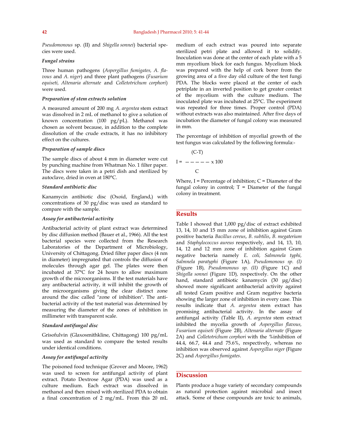*Pseudomonous* sp. (II) and *Shigella sonnei*) bacterial species were used.

#### *Fungal strains*

Three human pathogens (*Aspergillus fumigates, A. flavous* and *A. niger*) and three plant pathogens (*Fusarium equiseti, Altenaria alternate* and *Colletotrichum corphori*) were used.

#### *Preparation of stem extracts solution*

A measured amount of 200 mg *A. argentea* stem extract was dissolved in 2 mL of methanol to give a solution of known concentration (100 pg/pL). Methanol was chosen as solvent because, in addition to the complete dissolution of the crude extracts, it has no inhibitory effect on the cultures.

#### *Preparation of sample discs*

The sample discs of about 4 mm in diameter were cut by punching machine from Whatman No. 1 filter paper. The discs were taken in a petri dish and sterilized by autoclave, dried in oven at 180°C.

#### *Standard antibiotic disc*

Kanamycin antibiotic disc (Oxoid, England,) with concentrations of 30 pg/disc was used as standard to compare with the sample.

#### *Assay for antibacterial activity*

Antibacterial activity of plant extract was determined by disc diffusion method (Bauer et al., 1966). All the test bacterial species were collected from the Research Laboratories of the Department of Microbiology, University of Chittagong. Dried filter paper discs (4 nm in diameter) impregnated that controls the diffusion of molecules through agar gel. The plates were then incubated at 37°C for 24 hours to allow maximum growth of the microorganisms. If the test materials have any antibacterial activity, it will inhibit the growth of the microorganisms giving the clear distinct zone around the disc called "zone of inhibition". The antibacterial activity of the test material was determined by measuring the diameter of the zones of inhibition in millimeter with transparent scale.

#### *Standard antifungal disc*

Grisofulvin (Glaxosmithkline, Chittagong) 100 pg/mL was used as standard to compare the tested results under identical conditions.

#### *Assay for antifungal activity*

The poisoned food technique (Grover and Moore, 1962) was used to screen for antifungal activity of plant extract. Potato Dextrose Agar (PDA) was used as a culture medium. Each extract was dissolved in methanol and then mixed with sterilized PDA to obtain a final concentration of 2 mg/mL. From this 20 mL

medium of each extract was poured into separate sterilized petri plate and allowed it to solidify. Inoculation was done at the center of each plate with a 5 mm mycelium block for each fungus. Mycelium block was prepared with the help of cork borer from the growing area of a five day old culture of the test fungi PDA. The blocks were placed at the center of each petriplate in an inverted position to get greater contact of the mycelium with the culture medium. The inoculated plate was incubated at 25°C. The experiment was repeated for three times. Proper control (PDA) without extracts was also maintained. After five days of incubation the diameter of fungal colony was measured in mm.

The percentage of inhibition of mycelial growth of the test fungus was calculated by the following formula:-

$$
I = \frac{(-T)}{C}
$$
\n
$$
I = \frac{-1 - 2 \times 100}{C}
$$

Where,  $I =$  Percentage of inhibition;  $C =$  Diameter of the fungal colony in control;  $T =$  Diameter of the fungal colony in treatment.

#### **Results**

Table I showed that 1,000 pg/disc of extract exhibited 13, 14, 10 and 15 mm zone of inhibition against Gram positive bacteria *Bacillus cereus*, *B. subtilis*, *B. megaterium* and *Staphylococcus aureus* respectively, and 14, 13, 10, 14, 12 and 12 mm zone of inhibition against Gram negative bacteria namely *E. coli, Salmonela typhi, Salmnela paratyphi* (Figure 1A)*, Pseudomonous sp. (I)*  (Figure 1B)*, Pseudomonous sp. (II)* (Figure 1C) and *Shigella sonnei* (Figure 1D)*,* respectively*.* On the other hand, standard antibiotic kanamycin (30 μg/disc) showed more significant antibacterial activity against all tested Gram positive and Gram negative bacteria showing the larger zone of inhibition in every case. This results indicate that *A. argentea* stem extract has promising antibacterial activity. In the assay of antifungal activity (Table II), *A. argentea* stem extract inhibited the mycelia growth of *Aspergillus flavous, Fusarium equiseti* (Figure 2B)*, Altenaria alternate* (Figure 2A) and *Colletotrichum corphori* with the %inhibition of 44.4, 66.7, 44.4 and 75.6%, respectively, whereas no inhibition was observed against *Aspergillus niger* (Figure 2C) and *Aspergillus fumigates*.

# **Discussion**

Plants produce a huge variety of secondary compounds as natural protection against microbial and insect attack. Some of these compounds are toxic to animals,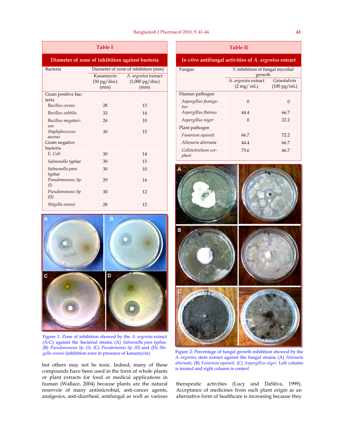| <b>Table I</b>                                  |                                             |                                                          |  |  |
|-------------------------------------------------|---------------------------------------------|----------------------------------------------------------|--|--|
| Diameter of zone of inhibition against bacteria |                                             |                                                          |  |  |
| Bacteria                                        | Diameter of zone of inhibition (mm)         |                                                          |  |  |
|                                                 | Kanamycin<br>$(30 \text{ pg/disc})$<br>(mm) | A. argentea extract<br>$(1,000 \text{ pg/disc})$<br>(mm) |  |  |
| Gram positive bac-<br>teria                     |                                             |                                                          |  |  |
| Bacillus cereus                                 | 28                                          | 13                                                       |  |  |
| Bacillus subtilis                               | 32                                          | 14                                                       |  |  |
| Bacillus megatari-<br>um                        | 26                                          | 10                                                       |  |  |
| Staphylococcus<br>aureus                        | 30                                          | 15                                                       |  |  |
| Gram negative<br>bacteria                       |                                             |                                                          |  |  |
| E. Coli                                         | 30                                          | 14                                                       |  |  |
| Salmonella typhae                               | 30                                          | 13                                                       |  |  |
| Salmonella para<br>typhae                       | 30                                          | 10                                                       |  |  |
| Pseudomonous Sp.<br>(I)                         | 29                                          | 14                                                       |  |  |
| Pseudomonous Sp<br>(II)                         | 30                                          | 12                                                       |  |  |
| Shigella sonnei                                 | 28                                          | 12                                                       |  |  |



Figure 1: Zone of inhibition showed by the *A. argentea* extract (A-C) against the bacterial strains (A) *Salmonella para typhae*; (B) *Pseudomonous Sp. (I)*; (C) *Pseudomonas Sp. (II)* and (D) *Shigella sonnei* (inhibition zone in presence of kanamycin) Figure 2: Percentage of fungal growth inhibition showed by the

but others may not be toxic. Indeed, many of these compounds have been used in the form of whole plants or plant extracts for food or medical applications in human (Wallace, 2004) because plants are the natural reservoir of many antimicrobial, anti-cancer agents, analgesics, anti-diarrheal, antifungal as well as various

# **Table II**

# *In vitro* **antifungal activities of** *A. argentea* **extract**

| Fungus                       | % inhibition of fungal mycelial<br>growth |                       |
|------------------------------|-------------------------------------------|-----------------------|
|                              | A. argentea extract                       | Grisofulvin           |
|                              | $(2 \text{ mg}/ \text{ mL})$              | $(100 \text{ pg/mL})$ |
| Human pathogen               |                                           |                       |
| Aspergillus fumiga-<br>tus   | $\Omega$                                  | 0                     |
| Aspergillus flavous          | 44.4                                      | 66.7                  |
| Aspergillus niger            | $\Omega$                                  | 22.2                  |
| Plant pathogen               |                                           |                       |
| Fusarium equiseti            | 66.7                                      | 72.2                  |
| Altenaria alternata          | 44.4                                      | 66.7                  |
| Colletotrichum cor-<br>phori | 75.6                                      | 66.7                  |



*A. argentea* stem extract against the fungal strains (A) *Altenaria alternate;* (B) *Fusarium equiseti;* (C) *Aspergillus niger.* Left column is treated and right column is control

therapeutic activities (Lucy and DaSilva, 1999). Acceptance of medicines from such plant origin as an alternative form of healthcare is increasing because they